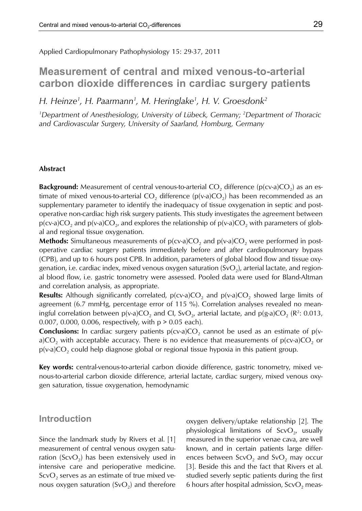Applied Cardiopulmonary Pathophysiology 15: 29-37, 2011

# **Measurement of central and mixed venous-to-arterial carbon dioxide differences in cardiac surgery patients**

*H. Heinze1 , H. Paarmann1 , M. Heringlake1 , H. V. Groesdonk2*

*1 Department of Anesthesiology, University of Lübeck, Germany; 2 Department of Thoracic and Cardiovascular Surgery, University of Saarland, Homburg, Germany*

## **Abstract**

**Background:** Measurement of central venous-to-arterial  $CO<sub>2</sub>$  difference ( $p$ (cv-a) $CO<sub>2</sub>$ ) as an estimate of mixed venous-to-arterial CO<sub>2</sub> difference ( $p(v-a)CO<sub>2</sub>$ ) has been recommended as an supplementary parameter to identify the inadequacy of tissue oxygenation in septic and postoperative non-cardiac high risk surgery patients. This study investigates the agreement between  $p(cv-a)CO<sub>2</sub>$  and  $p(v-a)CO<sub>2</sub>$ , and explores the relationship of  $p(v-a)CO<sub>2</sub>$  with parameters of global and regional tissue oxygenation.

**Methods:** Simultaneous measurements of  $p(cv-a)CO_2$  and  $p(v-a)CO_2$  were performed in postoperative cardiac surgery patients immediately before and after cardiopulmonary bypass (CPB), and up to 6 hours post CPB. In addition, parameters of global blood flow and tissue oxygenation, i.e. cardiac index, mixed venous oxygen saturation  $(SvO<sub>2</sub>)$ , arterial lactate, and regional blood flow, i.e. gastric tonometry were assessed. Pooled data were used for Bland-Altman and correlation analysis, as appropriate.

**Results:** Although significantly correlated,  $p(cv-a)CO_2$  and  $p(v-a)CO_2$  showed large limits of agreement (6.7 mmHg, percentage error of 115 %). Correlation analyses revealed no meaningful correlation between  $p(v-a)CO_2$  and Cl, SvO<sub>2</sub>, arterial lactate, and  $p(g-a)CO_2$  (R<sup>2</sup>: 0.013, 0.007, 0.000, 0.006, respectively, with p > 0.05 each).

**Conclusions:** In cardiac surgery patients  $p(cv-a)CO<sub>2</sub>$  cannot be used as an estimate of  $p(v-a)CO<sub>2</sub>$ a)CO<sub>2</sub> with acceptable accuracy. There is no evidence that measurements of  $p$ (cv-a)CO<sub>2</sub> or  $p(v-a)CO<sub>2</sub>$  could help diagnose global or regional tissue hypoxia in this patient group.

**Key words:** central-venous-to-arterial carbon dioxide difference, gastric tonometry, mixed venous-to-arterial carbon dioxide difference, arterial lactate, cardiac surgery, mixed venous oxygen saturation, tissue oxygenation, hemodynamic

# **Introduction**

Since the landmark study by Rivers et al. [1] measurement of central venous oxygen saturation (ScvO<sub>2</sub>) has been extensively used in intensive care and perioperative medicine.  $ScvO<sub>2</sub>$  serves as an estimate of true mixed venous oxygen saturation  $(SvO<sub>2</sub>)$  and therefore oxygen delivery/uptake relationship [2]. The physiological limitations of  $ScvO<sub>2</sub>$ , usually measured in the superior venae cava, are well known, and in certain patients large differences between  $ScvO<sub>2</sub>$  and  $SvO<sub>2</sub>$  may occur [3]. Beside this and the fact that Rivers et al. studied severly septic patients during the first 6 hours after hospital admission,  $ScvO<sub>2</sub>$  meas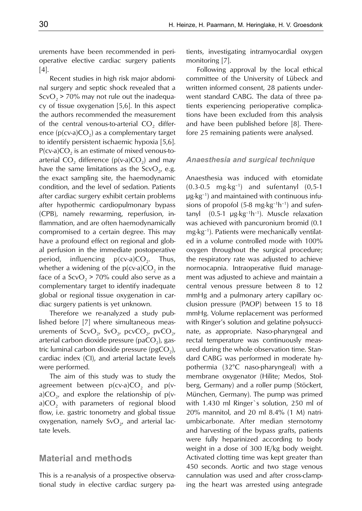urements have been recommended in perioperative elective cardiac surgery patients [4].

Recent studies in high risk major abdominal surgery and septic shock revealed that a  $S\text{cvO}_2$  > 70% may not rule out the inadequacy of tissue oxygenation [5,6]. In this aspect the authors recommended the measurement of the central venous-to-arterial  $CO<sub>2</sub>$  difference ( $p$ (cv-a)CO<sub>2</sub>) as a complementary target to identify persistent ischaemic hypoxia [5,6].  $P(cv-a)CO<sub>2</sub>$  is an estimate of mixed venous-toarterial  $CO<sub>2</sub>$  difference (p(v-a) $CO<sub>2</sub>$ ) and may have the same limitations as the  $ScvO<sub>2</sub>$ , e.g. the exact sampling site, the haemodynamic condition, and the level of sedation. Patients after cardiac surgery exhibit certain problems after hypothermic cardiopulmonary bypass (CPB), namely rewarming, reperfusion, inflammation, and are often haemodynamically compromised to a certain degree. This may have a profound effect on regional and global perfusion in the immediate postoperative period, influencing  $p(cv-a)CO<sub>2</sub>$ . Thus, whether a widening of the  $p(cv-a)CO<sub>2</sub>$  in the face of a  $ScvO<sub>2</sub> > 70%$  could also serve as a complementary target to identify inadequate global or regional tissue oxygenation in cardiac surgery patients is yet unknown.

Therefore we re-analyzed a study published before [7] where simultaneous measurements of ScvO<sub>2</sub>, SvO<sub>2</sub>, pcvCO<sub>2</sub>, pvCO<sub>2</sub>, arterial carbon dioxide pressure (paCO<sub>2</sub>), gastric luminal carbon dioxide pressure (pgCO<sub>2</sub>), cardiac index (CI), and arterial lactate levels were performed.

The aim of this study was to study the agreement between  $p(cv-a)CO<sub>2</sub>$  and  $p(v-a)CO<sub>2</sub>$ a)CO<sub>2</sub>, and explore the relationship of p(v $a)CO<sub>2</sub>$  with parameters of regional blood flow, i.e. gastric tonometry and global tissue oxygenation, namely  $SvO<sub>2</sub>$ , and arterial lactate levels.

# **Material and methods**

This is a re-analysis of a prospective observational study in elective cardiac surgery patients, investigating intramyocardial oxygen monitoring [7].

Following approval by the local ethical committee of the University of Lübeck and written informed consent, 28 patients underwent standard CABG. The data of three patients experiencing perioperative complications have been excluded from this analysis and have been published before [8]. Therefore 25 remaining patients were analysed.

### *Anaesthesia and surgical technique*

Anaesthesia was induced with etomidate  $(0.3-0.5 \text{ mg·kg}^{-1})$  and sufentanyl  $(0.5-1)$ µg·kg–1) and maintained with continuous infusions of propofol (5-8 mg $\cdot$ kg<sup>-1</sup>h<sup>-1</sup>) and sufentanyl  $(0.5-1 \mu g \cdot kg^{-1}h^{-1})$ . Muscle relaxation was achieved with pancuronium bromid (0.1 mg·kg–1). Patients were mechanically ventilated in a volume controlled mode with 100% oxygen throughout the surgical procedure; the respiratory rate was adjusted to achieve normocapnia. Intraoperative fluid management was adjusted to achieve and maintain a central venous pressure between 8 to 12 mmHg and a pulmonary artery capillary occlusion pressure (PAOP) between 15 to 18 mmHg. Volume replacement was performed with Ringer's solution and gelatine polysuccinate, as appropriate. Naso-pharyngeal and rectal temperature was continuously measured during the whole observation time. Standard CABG was performed in moderate hypothermia (32°C naso-pharyngeal) with a membrane oxygenator (Hilite; Medos, Stolberg, Germany) and a roller pump (Stöckert, München, Germany). The pump was primed with 1.430 ml Ringer`s solution, 250 ml of 20% mannitol, and 20 ml 8.4% (1 M) natriumbicarbonate. After median sternotomy and harvesting of the bypass grafts, patients were fully heparinized according to body weight in a dose of 300 IE/kg body weight. Activated clotting time was kept greater than 450 seconds. Aortic and two stage venous cannulation was used and after cross-clamping the heart was arrested using antegrade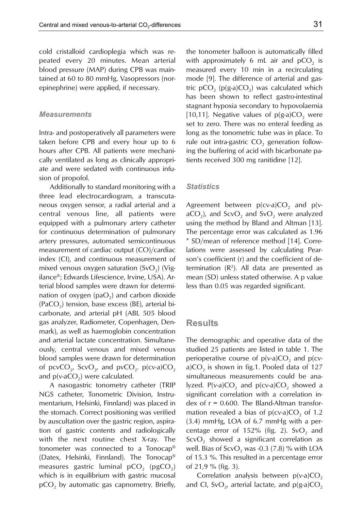cold cristalloid cardioplegia which was repeated every 20 minutes. Mean arterial blood pressure (MAP) during CPB was maintained at 60 to 80 mmHg. Vasopressors (norepinephrine) were applied, if necessary.

#### *Measurements*

Intra- and postoperatively all parameters were taken before CPB and every hour up to 6 hours after CPB. All patients were mechanically ventilated as long as clinically appropriate and were sedated with continuous infusion of propofol.

Additionally to standard monitoring with a three lead electrocardiogram, a transcutaneous oxygen sensor, a radial arterial and a central venous line, all patients were equipped with a pulmonary artery catheter for continuous determination of pulmonary artery pressures, automated semicontinuous measurement of cardiac output (CO)/cardiac index (CI), and continuous measurement of mixed venous oxygen saturation  $(SvO<sub>2</sub>)$  (Vigilance®; Edwards Lifescience, Irvine, USA). Arterial blood samples were drawn for determination of oxygen ( $paO<sub>2</sub>$ ) and carbon dioxide  $(PaCO<sub>2</sub>)$  tension, base excess (BE), arterial bicarbonate, and arterial pH (ABL 505 blood gas analyzer, Radiometer, Copenhagen, Denmark), as well as haemoglobin concentration and arterial lactate concentration. Simultaneously, central venous and mixed venous blood samples were drawn for determination of pcvCO<sub>2</sub>, ScvO<sub>2</sub>, and pvCO<sub>2</sub>. p(cv-a)CO<sub>2</sub> and  $p(v-aCO<sub>2</sub>)$  were calculated.

A nasogastric tonometry catheter (TRIP NGS catheter, Tonometric Division, Instrumentarium, Helsinki, Finnland) was placed in the stomach. Correct positioning was verified by auscultation over the gastric region, aspiration of gastric contents and radiologically with the next routine chest X-ray. The tonometer was connected to a Tonocap® (Datex, Helsinki, Finnland). The Tonocap® measures gastric luminal  $pCO<sub>2</sub>$  (pgCO<sub>2</sub>) which is in equilibrium with gastric mucosal  $pCO<sub>2</sub>$  by automatic gas capnometry. Briefly,

the tonometer balloon is automatically filled with approximately 6 mL air and  $pCO<sub>2</sub>$  is measured every 10 min in a recirculating mode [9]. The difference of arterial and gastric  $pCO<sub>2</sub>$  ( $p(g-a)CO<sub>2</sub>$ ) was calculated which has been shown to reflect gastro-intestinal stagnant hypoxia secondary to hypovolaemia [10,11]. Negative values of  $p(g-a)CO<sub>2</sub>$  were set to zero. There was no enteral feeding as long as the tonometric tube was in place. To rule out intra-gastric  $CO<sub>2</sub>$  generation following the buffering of acid with bicarbonate patients received 300 mg ranitidine [12].

#### *Statistics*

Agreement between  $p(cv-a)CO<sub>2</sub>$  and  $p(v-a)CO<sub>2</sub>$  $aCO<sub>2</sub>$ ), and ScvO<sub>2</sub> and SvO<sub>2</sub> were analyzed using the method by Bland and Altman [13]. The percentage error was calculated as 1.96 \* SD/mean of reference method [14]. Correlations were assessed by calculating Pearson's coefficient (r) and the coefficient of determination  $(R^2)$ . All data are presented as mean (SD) unless stated otherwise. A p value less than 0.05 was regarded significant.

### **Results**

The demographic and operative data of the studied 25 patients are listed in table 1. The perioperative course of  $p(v-a)CO_2$  and  $p(cv$ a) $CO<sub>2</sub>$  is shown in fig.1. Pooled data of 127 simultaneous measurements could be analyzed.  $P(v-a)CO_2$  and  $p(cv-a)CO_2$  showed a significant correlation with a correlation index of  $r = 0.600$ . The Bland-Altman transformation revealed a bias of  $p(cv-a)CO<sub>2</sub>$  of 1.2 (3.4) mmHg, LOA of 6.7 mmHg with a percentage error of 152% (fig. 2). SvO<sub>2</sub> and  $ScvO<sub>2</sub>$  showed a significant correlation as well. Bias of  $ScvO<sub>2</sub>$  was -0.3 (7.8) % with LOA of 15.3 %. This resulted in a percentage error of 21,9 % (fig. 3).

Correlation analysis between  $p(v-a)CO<sub>2</sub>$ and CI, SvO<sub>2</sub>, arterial lactate, and  $p(g-a)CO<sub>2</sub>$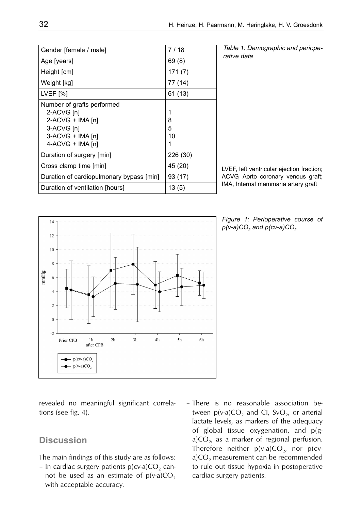| Gender [female / male]                                                                                             | 7 / 18            |
|--------------------------------------------------------------------------------------------------------------------|-------------------|
| Age [years]                                                                                                        | 69 (8)            |
| Height [cm]                                                                                                        | 171(7)            |
| Weight [kg]                                                                                                        | 77 (14)           |
| LVEF [%]                                                                                                           | 61 (13)           |
| Number of grafts performed<br>2-ACVG [n]<br>2-ACVG + IMA [n]<br>3-ACVG [n]<br>3-ACVG + IMA [n]<br>4-ACVG + IMA [n] | 1<br>8<br>5<br>10 |
| Duration of surgery [min]                                                                                          | 226 (30)          |
| Cross clamp time [min]                                                                                             | 45 (20)           |
| Duration of cardiopulmonary bypass [min]                                                                           | 93 (17)           |
| Duration of ventilation [hours]                                                                                    | 13(5)             |

*Table 1: Demographic and perioperative data*

LVEF, left ventricular ejection fraction; ACVG, Aorto coronary venous graft; IMA, Internal mammaria artery graft





revealed no meaningful significant correlations (see fig. 4).

# **Discussion**

The main findings of this study are as follows:

- In cardiac surgery patients  $p(cv-a)CO<sub>2</sub>$  cannot be used as an estimate of  $p(v-a)CO<sub>2</sub>$ with acceptable accuracy.

– There is no reasonable association between  $p(v-a)CO_2$  and Cl, SvO<sub>2</sub>, or arterial lactate levels, as markers of the adequacy of global tissue oxygenation, and p(ga)CO<sub>2</sub>, as a marker of regional perfusion. Therefore neither  $p(v-a)CO<sub>2</sub>$ , nor  $p(cv-a)CO<sub>2</sub>$ a) $CO<sub>2</sub>$  measurement can be recommended to rule out tissue hypoxia in postoperative cardiac surgery patients.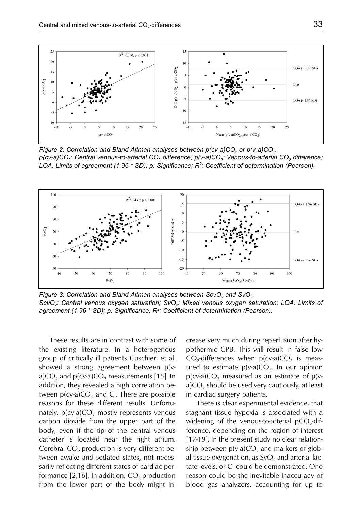

*Figure 2: Correlation and Bland-Altman analyses between p(cv-a)CO<sub>2</sub> or p(v-a)CO<sub>2</sub> p(cv-a)CO2: Central venous-to-arterial CO2 difference; p(v-a)CO2: Venous-to-arterial CO2 difference; LOA: Limits of agreement (1.96 \* SD); p: Significance; R2: Coefficient of determination (Pearson).*



*Figure 3: Correlation and Bland-Altman analyses between ScvO<sub>2</sub> and SvO<sub>2</sub>. ScvO<sub>2</sub>: Central venous oxygen saturation; SvO<sub>2</sub>: Mixed venous oxygen saturation; LOA: Limits of agreement (1.96 \* SD); p: Significance; R2: Coefficient of determination (Pearson).*

These results are in contrast with some of the existing literature. In a heterogenous group of critically ill patients Cuschieri et al. showed a strong agreement between p(va) $CO<sub>2</sub>$  and p(cv-a) $CO<sub>2</sub>$  measurements [15]. In addition, they revealed a high correlation between  $p(cv-a)CO<sub>2</sub>$  and CI. There are possible reasons for these different results. Unfortunately,  $p(cv-a)CO<sub>2</sub>$  mostly represents venous carbon dioxide from the upper part of the body, even if the tip of the central venous catheter is located near the right atrium. Cerebral CO<sub>2</sub>-production is very different between awake and sedated states, not necessarily reflecting different states of cardiac performance  $[2,16]$ . In addition,  $CO$ <sub>2</sub>-production from the lower part of the body might increase very much during reperfusion after hypothermic CPB. This will result in false low  $CO<sub>2</sub>$ -differences when p(cv-a) $CO<sub>2</sub>$  is measured to estimate  $p(v-a)CO<sub>2</sub>$ . In our opinion  $p(cv-a)CO<sub>2</sub>$  measured as an estimate of  $p(v-a)$  $a)CO<sub>2</sub>$  should be used very cautiously, at least in cardiac surgery patients.

There is clear experimental evidence, that stagnant tissue hypoxia is associated with a widening of the venous-to-arterial  $pCO<sub>2</sub>$ -difference, depending on the region of interest [17-19]. In the present study no clear relationship between  $p(v-a)CO$ , and markers of global tissue oxygenation, as  $SvO<sub>2</sub>$  and arterial lactate levels, or CI could be demonstrated. One reason could be the inevitable inaccuracy of blood gas analyzers, accounting for up to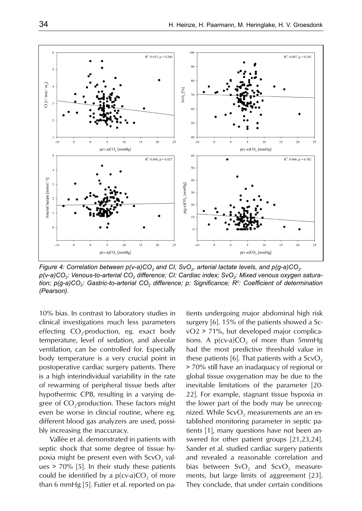

*Figure 4: Correlation between p(v-a)CO<sub>2</sub> and CI, SvO<sub>2</sub>, arterial lactate levels, and p(g-a)CO<sub>2</sub>.* p(v-a)CO<sub>2</sub>: Venous-to-arterial CO<sub>2</sub> difference; CI: Cardiac index; SvO<sub>2</sub>: Mixed venous oxygen satura*tion; p(g-a)CO2: Gastric-to-arterial CO2 difference; p: Significance; R2: Coefficient of determination (Pearson).*

10% bias. In contrast to laboratory studies in clinical investigations much less parameters effecting  $CO_2$ -production, eg. exact body temperature, level of sedation, and alveolar ventilation, can be controlled for. Especially body temperature is a very crucial point in postoperative cardiac surgery patients. There is a high interindividual variability in the rate of rewarming of peripheral tissue beds after hypothermic CPB, resulting in a varying degree of  $CO<sub>2</sub>$ -production. These factors might even be worse in clincial routine, where eg. different blood gas analyzers are used, possibly increasing the inaccuracy.

Vallée et al. demonstrated in patients with septic shock that some degree of tissue hypoxia might be present even with  $ScvO$ , values > 70% [5]. In their study these patients could be identified by a  $p(cv-a)CO$ , of more than 6 mmHg [5]. Futier et al. reported on pa-

tients undergoing major abdominal high risk surgery [6]. 15% of the patients showed a ScvO2 > 71%, but developed major complications. A  $p(cv-a)CO<sub>2</sub>$  of more than 5mmHg had the most predictive threshold value in these patients [6]. That patients with a  $ScvO<sub>2</sub>$ > 70% still have an inadaquacy of regional or global tissue oxygenation may be due to the inevitable limitations of the parameter [20- 22]. For example, stagnant tissue hypoxia in the lower part of the body may be unrecognized. While  $ScvO<sub>2</sub>$  measurements are an established monitoring parameter in septic patients [1], many questions have not been answered for other patient groups [21,23,24]. Sander et al. studied cardiac surgery patients and revealed a reasonable correlation and bias between  $SvO<sub>2</sub>$  and  $ScvO<sub>2</sub>$  measurements, but large limits of aggreement [23]. They conclude, that under certain conditions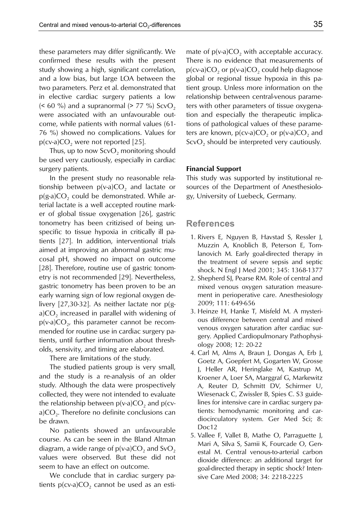these parameters may differ significantly. We confirmed these results with the present study showing a high, significant correlation, and a low bias, but large LOA between the two parameters. Perz et al. demonstrated that in elective cardiac surgery patients a low ( $\leq 60$  %) and a supranormal ( $\geq 77$  %) ScvO<sub>2</sub> were associated with an unfavourable outcome, while patients with normal values (61- 76 %) showed no complications. Values for  $p(cv-a)CO<sub>2</sub>$  were not reported [25].

Thus, up to now  $ScvO<sub>2</sub>$  monitoring should be used very cautiously, especially in cardiac surgery patients.

In the present study no reasonable relationship between  $p(v-a)CO<sub>2</sub>$  and lactate or  $p(g-a)CO<sub>2</sub>$  could be demonstrated. While arterial lactate is a well accepted routine marker of global tissue oxygenation [26], gastric tonometry has been critizised of being unspecific to tissue hypoxia in critically ill patients [27]. In addition, interventional trials aimed at improving an abnormal gastric mucosal pH, showed no impact on outcome [28]. Therefore, routine use of gastric tonometry is not recommended [29]. Nevertheless, gastric tonometry has been proven to be an early warning sign of low regional oxygen delivery [27,30-32]. As neither lactate nor  $p/g$ a) $CO<sub>2</sub>$  increased in parallel with widening of  $p(v-a)CO<sub>2</sub>$ , this parameter cannot be recommended for routine use in cardiac surgery patients, until further information about thresholds, sensivity, and timing are elaborated.

There are limitations of the study.

The studied patients group is very small, and the study is a re-analysis of an older study. Although the data were prospectively collected, they were not intended to evaluate the relationship between  $p(v-a)CO_2$  and  $p(cv$  $a$ )CO<sub>2</sub>. Therefore no definite conclusions can be drawn.

No patients showed an unfavourable course. As can be seen in the Bland Altman diagram, a wide range of  $p(v-a)CO_2$  and SvO<sub>2</sub> values were observed. But these did not seem to have an effect on outcome.

We conclude that in cardiac surgery patients  $p(cv-a)CO$ , cannot be used as an estimate of  $p(v-a)CO$ , with acceptable accuracy. There is no evidence that measurements of  $p(cv-a)CO<sub>2</sub>$  or  $p(v-a)CO<sub>2</sub>$  could help diagnose global or regional tissue hypoxia in this patient group. Unless more information on the relationship between central-venous parameters with other parameters of tissue oxygenation and especially the therapeutic implications of pathological values of these parameters are known,  $p(cv-a)CO_2$  or  $p(v-a)CO_2$  and  $ScvO<sub>2</sub>$  should be interpreted very cautiously.

#### **Financial Support**

This study was supported by institutional resources of the Department of Anesthesiology, University of Luebeck, Germany.

## **References**

- 1. Rivers E, Nguyen B, Havstad S, Ressler J, Muzzin A, Knoblich B, Peterson E, Tomlanovich M. Early goal-directed therapy in the treatment of severe sepsis and septic shock. N Engl J Med 2001; 345: 1368-1377
- 2. Shepherd SJ, Pearse RM. Role of central and mixed venous oxygen saturation measurement in perioperative care. Anesthesiology 2009; 111: 649-656
- 3. Heinze H, Hanke T, Misfeld M. A mysterious difference between central and mixed venous oxygen saturation after cardiac surgery. Applied Cardiopulmonary Pathophysiology 2008; 12: 20-22
- 4. Carl M, Alms A, Braun J, Dongas A, Erb J, Goetz A, Goepfert M, Gogarten W, Grosse J, Heller AR, Heringlake M, Kastrup M, Kroener A, Loer SA, Marggraf G, Markewitz A, Reuter D, Schmitt DV, Schirmer U, Wiesenack C, Zwissler B, Spies C. S3 guidelines for intensive care in cardiac surgery patients: hemodynamic monitoring and cardiocirculatory system. Ger Med Sci; 8: Doc12
- 5. Vallee F, Vallet B, Mathe O, Parraguette J, Mari A, Silva S, Samii K, Fourcade O, Genestal M. Central venous-to-arterial carbon dioxide difference: an additional target for goal-directed therapy in septic shock? Intensive Care Med 2008; 34: 2218-2225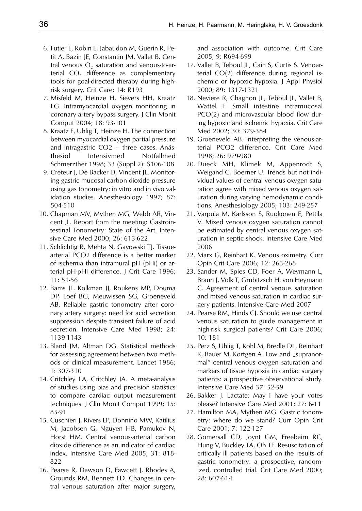- 6. Futier E, Robin E, Jabaudon M, Guerin R, Petit A, Bazin JE, Constantin JM, Vallet B. Central venous  $O<sub>2</sub>$  saturation and venous-to-arterial  $CO<sub>2</sub>$  difference as complementary tools for goal-directed therapy during highrisk surgery. Crit Care; 14: R193
- 7. Misfeld M, Heinze H, Sievers HH, Kraatz EG. Intramyocardial oxygen monitoring in coronary artery bypass surgery. J Clin Monit Comput 2004; 18: 93-101
- 8. Kraatz E, Uhlig T, Heinze H. The connection between myocardial oxygen partial pressure and intragastric CO2 – three cases. Anästhesiol Intensivmed Notfallmed Schmerzther 1998; 33 (Suppl 2): S106-108
- 9. Creteur J, De Backer D, Vincent JL. Monitoring gastric mucosal carbon dioxide pressure using gas tonometry: in vitro and in vivo validation studies. Anesthesiology 1997; 87: 504-510
- 10. Chapman MV, Mythen MG, Webb AR, Vincent JL. Report from the meeting: Gastrointestinal Tonometry: State of the Art. Intensive Care Med 2000; 26: 613-622
- 11. Schlichtig R, Mehta N, Gayowski TJ. Tissuearterial PCO2 difference is a better marker of ischemia than intramural pH (pHi) or arterial pH-pHi difference. J Crit Care 1996; 11: 51-56
- 12. Bams JL, Kolkman JJ, Roukens MP, Douma DP, Loef BG, Meuwissen SG, Groeneveld AB. Reliable gastric tonometry after coronary artery surgery: need for acid secretion suppression despite transient failure of acid secretion. Intensive Care Med 1998; 24: 1139-1143
- 13. Bland JM, Altman DG. Statistical methods for assessing agreement between two methods of clinical measurement. Lancet 1986; 1: 307-310
- 14. Critchley LA, Critchley JA. A meta-analysis of studies using bias and precision statistics to compare cardiac output measurement techniques. J Clin Monit Comput 1999; 15: 85-91
- 15. Cuschieri J, Rivers EP, Donnino MW, Katilius M, Jacobsen G, Nguyen HB, Pamukov N, Horst HM. Central venous-arterial carbon dioxide difference as an indicator of cardiac index. Intensive Care Med 2005; 31: 818- 822
- 16. Pearse R, Dawson D, Fawcett J, Rhodes A, Grounds RM, Bennett ED. Changes in central venous saturation after major surgery,

and association with outcome. Crit Care 2005; 9: R694-699

- 17. Vallet B, Teboul JL, Cain S, Curtis S. Venoarterial CO(2) difference during regional ischemic or hypoxic hypoxia. J Appl Physiol 2000; 89: 1317-1321
- 18. Neviere R, Chagnon JL, Teboul JL, Vallet B, Wattel F. Small intestine intramucosal PCO(2) and microvascular blood flow during hypoxic and ischemic hypoxia. Crit Care Med 2002; 30: 379-384
- 19. Groeneveld AB. Interpreting the venous-arterial PCO2 difference. Crit Care Med 1998; 26: 979-980
- 20. Dueck MH, Klimek M, Appenrodt S, Weigand C, Boerner U. Trends but not individual values of central venous oxygen saturation agree with mixed venous oxygen saturation during varying hemodynamic conditions. Anesthesiology 2005; 103: 249-257
- 21. Varpula M, Karlsson S, Ruokonen E, Pettila V. Mixed venous oxygen saturation cannot be estimated by central venous oxygen saturation in septic shock. Intensive Care Med 2006
- 22. Marx G, Reinhart K. Venous oximetry. Curr Opin Crit Care 2006; 12: 263-268
- 23. Sander M, Spies CD, Foer A, Weymann L, Braun J, Volk T, Grubitzsch H, von Heymann C. Agreement of central venous saturation and mixed venous saturation in cardiac surgery patients. Intensive Care Med 2007
- 24. Pearse RM, Hinds CJ. Should we use central venous saturation to guide management in high-risk surgical patients? Crit Care 2006; 10: 181
- 25. Perz S, Uhlig T, Kohl M, Bredle DL, Reinhart K, Bauer M, Kortgen A. Low and "supranormal" central venous oxygen saturation and markers of tissue hypoxia in cardiac surgery patients: a prospective observational study. Intensive Care Med 37: 52-59
- 26. Bakker J. Lactate: May I have your votes please? Intensive Care Med 2001; 27: 6-11
- 27. Hamilton MA, Mythen MG. Gastric tonometry: where do we stand? Curr Opin Crit Care 2001; 7: 122-127
- 28. Gomersall CD, Joynt GM, Freebairn RC, Hung V, Buckley TA, Oh TE. Resuscitation of critically ill patients based on the results of gastric tonometry: a prospective, randomized, controlled trial. Crit Care Med 2000; 28: 607-614